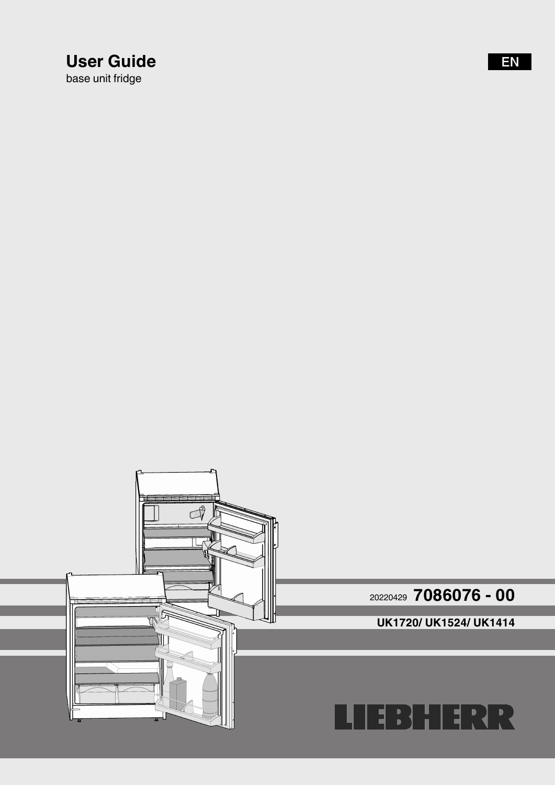# **User Guide**

base unit fridge

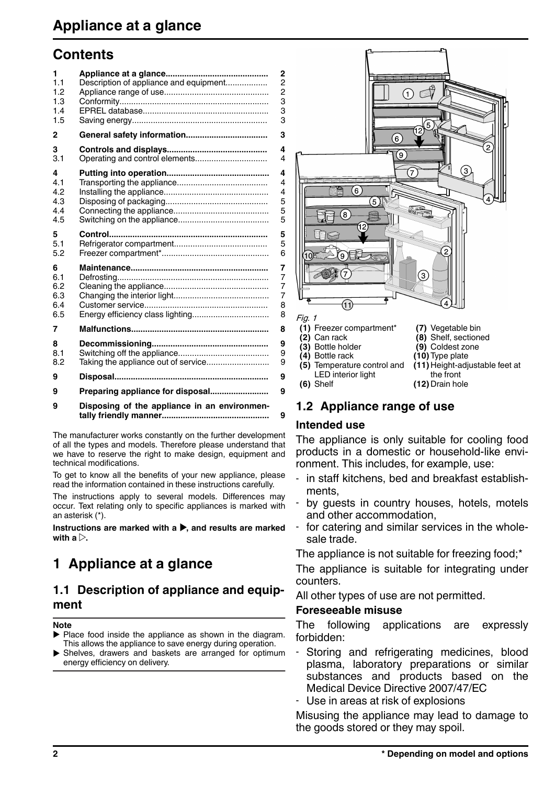## <span id="page-1-0"></span>**Contents**

| 1<br>1.1<br>1.2<br>1.3<br>1.4<br>1.5 | Description of appliance and equipment       | 2<br>2<br>$\frac{2}{3}$<br>3<br>3       |
|--------------------------------------|----------------------------------------------|-----------------------------------------|
| 2                                    |                                              | 3                                       |
| 3<br>3.1                             |                                              | 4<br>4                                  |
| 4<br>4.1<br>4.2<br>4.3<br>4.4<br>4.5 |                                              | 4<br>$\overline{4}$<br>4<br>5<br>5<br>5 |
| 5<br>5.1<br>5.2                      |                                              | 5<br>5<br>6                             |
| 6<br>6.1<br>6.2<br>6.3<br>6.4<br>6.5 | Energy efficiency class lighting             | 7<br>$\overline{7}$<br>7<br>7<br>8<br>8 |
| 7                                    |                                              | 8                                       |
| 8<br>8.1<br>8.2                      | Taking the appliance out of service          | 9<br>9<br>9                             |
| 9                                    |                                              | 9                                       |
| 9                                    | Preparing appliance for disposal             | 9                                       |
| 9                                    | Disposing of the appliance in an environmen- | 9                                       |

The manufacturer works constantly on the further development of all the types and models. Therefore please understand that we have to reserve the right to make design, equipment and technical modifications.

To get to know all the benefits of your new appliance, please read the information contained in these instructions carefully.

The instructions apply to several models. Differences may occur. Text relating only to specific appliances is marked with an asterisk (\*).

Instructions are marked with a  $\blacktriangleright$  and results are marked with  $a \triangleright$ .

# **1 Appliance at a glance**

## **1.1 Description of appliance and equipment**

#### **Note**

- $\blacktriangleright$  Place food inside the appliance as shown in the diagram. This allows the appliance to save energy during operation.
- $\triangleright$  Shelves, drawers and baskets are arranged for optimum energy efficiency on delivery.



# **1.2 Appliance range of use**

## **Intended use**

The appliance is only suitable for cooling food products in a domestic or household-like environment. This includes, for example, use:

- in staff kitchens, bed and breakfast establishments,
- by guests in country houses, hotels, motels and other accommodation,
- for catering and similar services in the wholesale trade.

The appliance is not suitable for freezing food;\*

The appliance is suitable for integrating under counters.

All other types of use are not permitted.

## **Foreseeable misuse**

The following applications are expressly forbidden:

- Storing and refrigerating medicines, blood plasma, laboratory preparations or similar substances and products based on the Medical Device Directive 2007/47/EC
- Use in areas at risk of explosions

Misusing the appliance may lead to damage to the goods stored or they may spoil.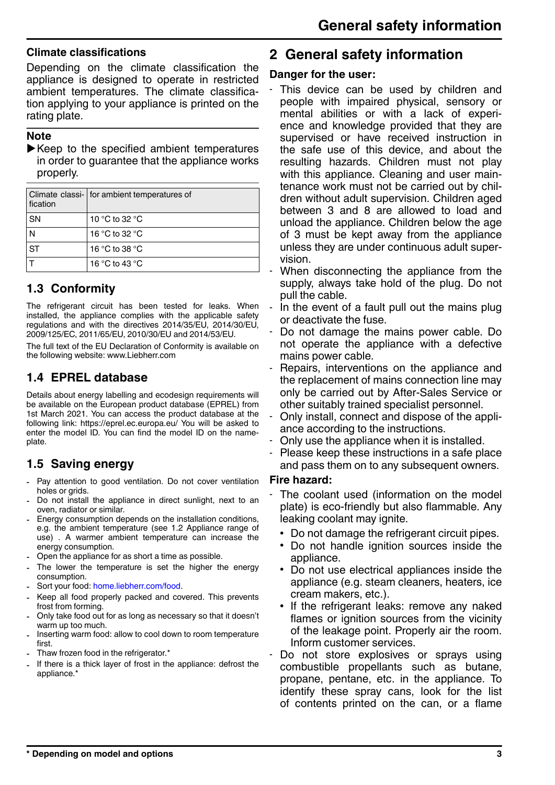#### **Climate classifications**

Depending on the climate classification the appliance is designed to operate in restricted ambient temperatures. The climate classification applying to your appliance is printed on the rating plate.

#### **Note**

 $\blacktriangleright$  Keep to the specified ambient temperatures in order to guarantee that the appliance works properly.

| fication  | Climate classi-   for ambient temperatures of |
|-----------|-----------------------------------------------|
| <b>SN</b> | 10 °C to 32 °C                                |
| Ν         | 16 °C to 32 °C                                |
| <b>ST</b> | 16 °C to 38 °C                                |
|           | 16 °C to 43 °C                                |

## **1.3 Conformity**

The refrigerant circuit has been tested for leaks. When installed, the appliance complies with the applicable safety regulations and with the directives 2014/35/EU, 2014/30/EU, 2009/125/EC, 2011/65/EU, 2010/30/EU and 2014/53/EU.

The full text of the EU Declaration of Conformity is available on the following website: www.Liebherr.com

## **1.4 EPREL database**

Details about energy labelling and ecodesign requirements will be available on the European product database (EPREL) from 1st March 2021. You can access the product database at the following link: https://eprel.ec.europa.eu/ You will be asked to enter the model ID. You can find the model ID on the nameplate.

## **1.5 Saving energy**

- Pay attention to good ventilation. Do not cover ventilation holes or grids.
- Do not install the appliance in direct sunlight, next to an oven, radiator or similar.
- Energy consumption depends on the installation conditions, e.g. the ambient temperature [\(see 1.2 Appliance range of](#page-1-0) [use\)](#page-1-0) . A warmer ambient temperature can increase the energy consumption.
- Open the appliance for as short a time as possible.
- The lower the temperature is set the higher the energy consumption.
- Sort your food: [home.liebherr.com/food.](https://home.liebherr.com/food)
- Keep all food properly packed and covered. This prevents frost from forming.
- Only take food out for as long as necessary so that it doesn't warm up too much.
- Inserting warm food: allow to cool down to room temperature first.
- Thaw frozen food in the refrigerator.\*
- If there is a thick layer of frost in the appliance: defrost the appliance.\*

## **2 General safety information**

### **Danger for the user:**

- This device can be used by children and people with impaired physical, sensory or mental abilities or with a lack of experience and knowledge provided that they are supervised or have received instruction in the safe use of this device, and about the resulting hazards. Children must not play with this appliance. Cleaning and user maintenance work must not be carried out by children without adult supervision. Children aged between 3 and 8 are allowed to load and unload the appliance. Children below the age of 3 must be kept away from the appliance unless they are under continuous adult supervision.
- When disconnecting the appliance from the supply, always take hold of the plug. Do not pull the cable.
- In the event of a fault pull out the mains plug or deactivate the fuse.
- Do not damage the mains power cable. Do not operate the appliance with a defective mains power cable.
- Repairs, interventions on the appliance and the replacement of mains connection line may only be carried out by After-Sales Service or other suitably trained specialist personnel.
- Only install, connect and dispose of the appliance according to the instructions.
- Only use the appliance when it is installed.
- Please keep these instructions in a safe place and pass them on to any subsequent owners.

### **Fire hazard:**

- The coolant used (information on the model plate) is eco-friendly but also flammable. Any leaking coolant may ignite.
	- Do not damage the refrigerant circuit pipes.
	- Do not handle ignition sources inside the appliance.
	- Do not use electrical appliances inside the appliance (e.g. steam cleaners, heaters, ice cream makers, etc.).
	- If the refrigerant leaks: remove any naked flames or ignition sources from the vicinity of the leakage point. Properly air the room. Inform customer services.
- Do not store explosives or sprays using combustible propellants such as butane, propane, pentane, etc. in the appliance. To identify these spray cans, look for the list of contents printed on the can, or a flame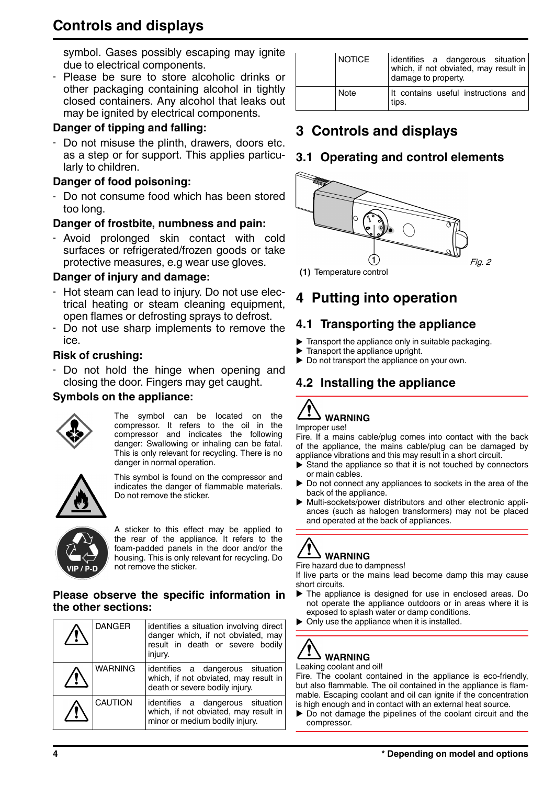# **Controls and displays**

symbol. Gases possibly escaping may ignite due to electrical components.

- Please be sure to store alcoholic drinks or other packaging containing alcohol in tightly closed containers. Any alcohol that leaks out may be ignited by electrical components.

## **Danger of tipping and falling:**

Do not misuse the plinth, drawers, doors etc. as a step or for support. This applies particularly to children.

## **Danger of food poisoning:**

Do not consume food which has been stored too long.

## **Danger of frostbite, numbness and pain:**

- Avoid prolonged skin contact with cold surfaces or refrigerated/frozen goods or take protective measures, e.g wear use gloves.

### **Danger of injury and damage:**

- Hot steam can lead to injury. Do not use electrical heating or steam cleaning equipment, open flames or defrosting sprays to defrost.
- Do not use sharp implements to remove the ice.

## **Risk of crushing:**

- Do not hold the hinge when opening and closing the door. Fingers may get caught.

### **Symbols on the appliance:**



The symbol can be located on the compressor. It refers to the oil in the compressor and indicates the following danger: Swallowing or inhaling can be fatal. This is only relevant for recycling. There is no danger in normal operation.

$$
\bigwedge \hspace{-3.75mm} \bigcirc
$$

This symbol is found on the compressor and indicates the danger of flammable materials. Do not remove the sticker.



A sticker to this effect may be applied to the rear of the appliance. It refers to the foam-padded panels in the door and/or the housing. This is only relevant for recycling. Do not remove the sticker.

#### **Please observe the specific information in the other sections:**

| <b>DANGER</b>  | identifies a situation involving direct<br>danger which, if not obviated, may<br>result in death or severe bodily<br>injury. |
|----------------|------------------------------------------------------------------------------------------------------------------------------|
| <b>WARNING</b> | identifies a dangerous situation<br>which, if not obviated, may result in<br>death or severe bodily injury.                  |
| <b>CAUTION</b> | identifies a dangerous situation<br>which, if not obviated, may result in<br>minor or medium bodily injury.                  |

| <b>NOTICE</b> | identifies a dangerous situation<br>which, if not obviated, may result in<br>damage to property. |
|---------------|--------------------------------------------------------------------------------------------------|
| Note          | It contains useful instructions and<br>tips.                                                     |

# **3 Controls and displays**

## **3.1 Operating and control elements**



# **4 Putting into operation**

## **4.1 Transporting the appliance**

- $\blacktriangleright$  Transport the appliance only in suitable packaging.
- $\blacktriangleright$  Transport the appliance upright.
- $\blacktriangleright$  Do not transport the appliance on your own.

## **4.2 Installing the appliance**



Fire. If a mains cable/plug comes into contact with the back of the appliance, the mains cable/plug can be damaged by appliance vibrations and this may result in a short circuit.

- Stand the appliance so that it is not touched by connectors or main cables.
- Do not connect any appliances to sockets in the area of the back of the appliance.
- Multi-sockets/power distributors and other electronic appliances (such as halogen transformers) may not be placed and operated at the back of appliances.

# **WARNING**

Fire hazard due to dampness!

If live parts or the mains lead become damp this may cause short circuits.

- $\blacktriangleright$  The appliance is designed for use in enclosed areas. Do not operate the appliance outdoors or in areas where it is exposed to splash water or damp conditions.
- $\triangleright$  Only use the appliance when it is installed.

# **WARNING**

Leaking coolant and oil! Fire. The coolant contained in the appliance is eco-friendly,

but also flammable. The oil contained in the appliance is flammable. Escaping coolant and oil can ignite if the concentration is high enough and in contact with an external heat source.

 $\blacktriangleright$  Do not damage the pipelines of the coolant circuit and the compressor.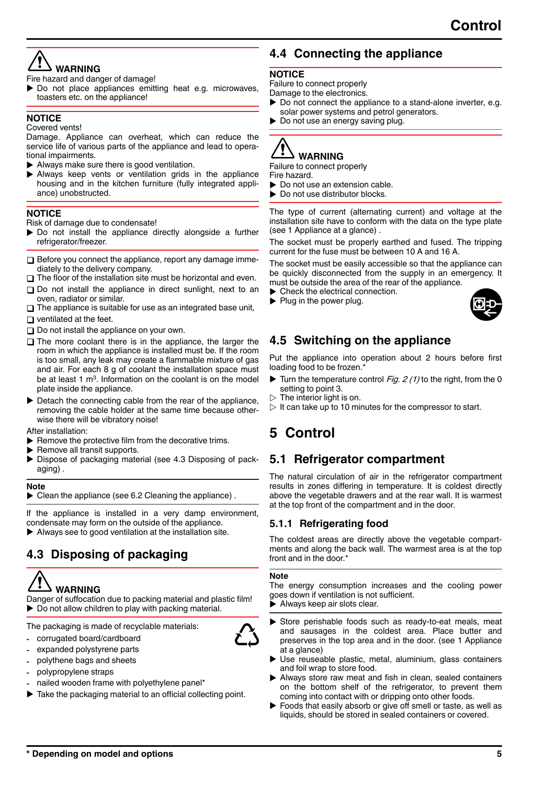## **WARNING**

Fire hazard and danger of damage!

 $\blacktriangleright$  Do not place appliances emitting heat e.g. microwaves, toasters etc. on the appliance!

#### **NOTICE**

Covered vents!

Damage. Appliance can overheat, which can reduce the service life of various parts of the appliance and lead to operational impairments.

- $\blacktriangleright$  Always make sure there is good ventilation.
- Always keep vents or ventilation grids in the appliance housing and in the kitchen furniture (fully integrated appliance) unobstructed.

#### **NOTICE**

Risk of damage due to condensate!

- $\triangleright$  Do not install the appliance directly alongside a further refrigerator/freezer.
- $\Box$  Before you connect the appliance, report any damage immediately to the delivery company.
- $\Box$  The floor of the installation site must be horizontal and even.
- $\square$  Do not install the appliance in direct sunlight, next to an oven, radiator or similar.
- $\Box$  The appliance is suitable for use as an integrated base unit,
- $\Box$  ventilated at the feet.
- $\Box$  Do not install the appliance on your own.
- $\Box$  The more coolant there is in the appliance, the larger the room in which the appliance is installed must be. If the room is too small, any leak may create a flammable mixture of gas and air. For each 8 g of coolant the installation space must be at least 1 m<sup>3</sup>. Information on the coolant is on the model plate inside the appliance.
- $\blacktriangleright$  Detach the connecting cable from the rear of the appliance, removing the cable holder at the same time because otherwise there will be vibratory noise!

After installation:

- $\blacktriangleright$  Remove the protective film from the decorative trims.
- Remove all transit supports.
- Dispose of packaging material (see 4.3 Disposing of packaging) .

#### **Note**

 $\blacktriangleright$  Clean the appliance (see 6.2 Cleaning the appliance).

If the appliance is installed in a very damp environment, condensate may form on the outside of the appliance.

 $\blacktriangleright$  Always see to good ventilation at the installation site.

## **4.3 Disposing of packaging**

# **WARNING**

Danger of suffocation due to packing material and plastic film!  $\triangleright$  Do not allow children to play with packing material.

The packaging is made of recyclable materials:

- corrugated board/cardboard
- expanded polystyrene parts
- polythene bags and sheets
- polypropylene straps
- nailed wooden frame with polyethylene panel\*
- Take the packaging material to an official collecting point.

## **4.4 Connecting the appliance**

#### **NOTICE**

Failure to connect properly

Damage to the electronics.

- $\triangleright$  Do not connect the appliance to a stand-alone inverter, e.g. solar power systems and petrol generators.
- $\triangleright$  Do not use an energy saving plug.

# **WARNING**

Failure to connect properly Fire hazard.

- $\triangleright$  Do not use an extension cable.
- $\blacktriangleright$  Do not use distributor blocks.

The type of current (alternating current) and voltage at the installation site have to conform with the data on the type plate [\(see 1 Appliance at a glance\)](#page-1-0) .

The socket must be properly earthed and fused. The tripping current for the fuse must be between 10 A and 16 A.

The socket must be easily accessible so that the appliance can be quickly disconnected from the supply in an emergency. It must be outside the area of the rear of the appliance.

- $\blacktriangleright$  Check the electrical connection.
- $\blacktriangleright$  Plug in the power plug.



## **4.5 Switching on the appliance**

Put the appliance into operation about 2 hours before first loading food to be frozen.\*

- Turn the temperature control Fig. 2  $(1)$  to the right, from the 0 setting to point 3.
- $\triangleright$  The interior light is on.
- $\triangleright$  It can take up to 10 minutes for the compressor to start.

## **5 Control**

## **5.1 Refrigerator compartment**

The natural circulation of air in the refrigerator compartment results in zones differing in temperature. It is coldest directly above the vegetable drawers and at the rear wall. It is warmest at the top front of the compartment and in the door.

### **5.1.1 Refrigerating food**

The coldest areas are directly above the vegetable compartments and along the back wall. The warmest area is at the top front and in the door. $^{\circ}$ 

#### **Note**

The energy consumption increases and the cooling power goes down if ventilation is not sufficient.

 $\blacktriangleright$  Always keep air slots clear.

- $\triangleright$  Store perishable foods such as ready-to-eat meals, meat and sausages in the coldest area. Place butter and preserves in the top area and in the door. [\(see 1 Appliance](#page-1-0) [at a glance\)](#page-1-0)
- Use reuseable plastic, metal, aluminium, glass containers and foil wrap to store food.
- Always store raw meat and fish in clean, sealed containers on the bottom shelf of the refrigerator, to prevent them coming into contact with or dripping onto other foods.
- Foods that easily absorb or give off smell or taste, as well as liquids, should be stored in sealed containers or covered.

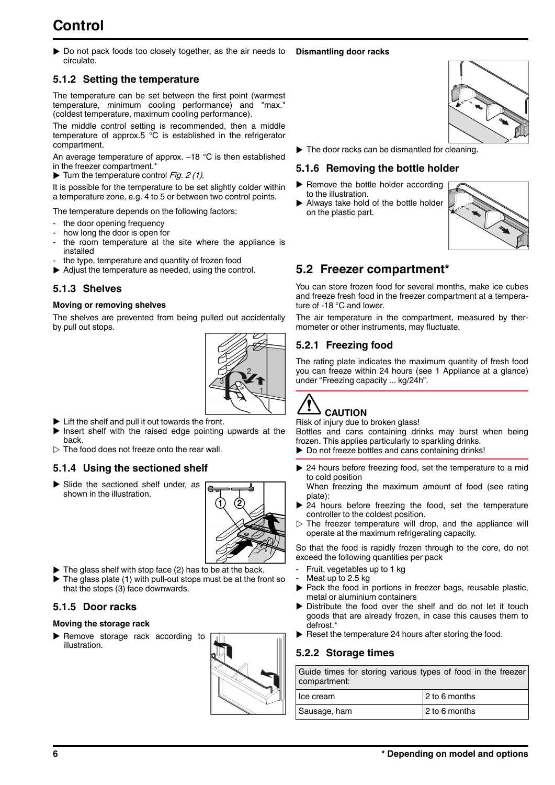# **Control**

 $\triangleright$  Do not pack foods too closely together, as the air needs to circulate. **Dismantling door racks**

## **5.1.2 Setting the temperature**

The temperature can be set between the first point (warmest temperature, minimum cooling performance) and "max." (coldest temperature, maximum cooling performance).

The middle control setting is recommended, then a middle temperature of approx.5 °C is established in the refrigerator compartment.

An average temperature of approx. –18 °C is then established in the freezer compartment.\*

 $\blacktriangleright$  Turn the temperature control Fig. 2 (1).

It is possible for the temperature to be set slightly colder within a temperature zone, e.g. 4 to 5 or between two control points.

The temperature depends on the following factors:

- the door opening frequency
- how long the door is open for
- the room temperature at the site where the appliance is installed
- the type, temperature and quantity of frozen food
- $\blacktriangleright$  Adjust the temperature as needed, using the control.

#### **5.1.3 Shelves**

#### **Moving or removing shelves**

The shelves are prevented from being pulled out accidentally by pull out stops.



- $\blacktriangleright$  Lift the shelf and pull it out towards the front.
- $\blacktriangleright$  Insert shelf with the raised edge pointing upwards at the back.
- $\triangleright$  The food does not freeze onto the rear wall.

#### **5.1.4 Using the sectioned shelf**

 $\blacktriangleright$  Slide the sectioned shelf under, as shown in the illustration.



- $\blacktriangleright$  The glass shelf with stop face (2) has to be at the back.
- The glass plate (1) with pull-out stops must be at the front so that the stops (3) face downwards.

#### **5.1.5 Door racks**

#### **Moving the storage rack**

 $\blacktriangleright$  Remove storage rack according to illustration.



 $\blacktriangleright$  The door racks can be dismantled for cleaning.

#### **5.1.6 Removing the bottle holder**

- $\blacktriangleright$  Remove the bottle holder according to the illustration.
- $\blacktriangleright$  Always take hold of the bottle holder on the plastic part.



## **5.2 Freezer compartment\***

You can store frozen food for several months, make ice cubes and freeze fresh food in the freezer compartment at a temperature of -18 °C and lower.

The air temperature in the compartment, measured by thermometer or other instruments, may fluctuate.

### **5.2.1 Freezing food**

The rating plate indicates the maximum quantity of fresh food you can freeze within 24 hours [\(see 1 Appliance at a glance\)](#page-1-0) under "Freezing capacity ... kg/24h".

# **CAUTION**

#### Risk of injury due to broken glass!

Bottles and cans containing drinks may burst when being frozen. This applies particularly to sparkling drinks.

- $\triangleright$  Do not freeze bottles and cans containing drinks!
- 24 hours before freezing food, set the temperature to a mid to cold position

When freezing the maximum amount of food (see rating plate):

- $\triangleright$  24 hours before freezing the food, set the temperature controller to the coldest position.
- $\triangleright$  The freezer temperature will drop, and the appliance will operate at the maximum refrigerating capacity.

So that the food is rapidly frozen through to the core, do not exceed the following quantities per pack

- Fruit, vegetables up to 1 kg
- Meat up to 2.5 kg
- Pack the food in portions in freezer bags, reusable plastic, metal or aluminium containers
- Distribute the food over the shelf and do not let it touch goods that are already frozen, in case this causes them to defrost.\*
- $\blacktriangleright$  Reset the temperature 24 hours after storing the food.

#### **5.2.2 Storage times**

| Guide times for storing various types of food in the freezer<br>compartment: |               |
|------------------------------------------------------------------------------|---------------|
| l Ice cream                                                                  | 2 to 6 months |
| Sausage, ham                                                                 | 2 to 6 months |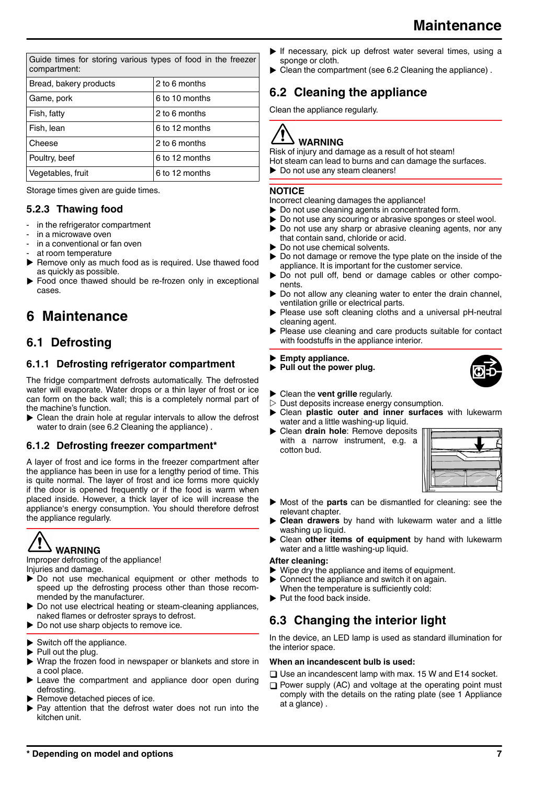| <b>Maintenance</b> |
|--------------------|
|                    |

<span id="page-6-0"></span>

| Guide times for storing various types of food in the freezer<br>compartment: |                |
|------------------------------------------------------------------------------|----------------|
| Bread, bakery products                                                       | 2 to 6 months  |
| Game, pork                                                                   | 6 to 10 months |
| Fish, fatty                                                                  | 2 to 6 months  |
| Fish, lean                                                                   | 6 to 12 months |
| Cheese                                                                       | 2 to 6 months  |
| Poultry, beef                                                                | 6 to 12 months |
| Vegetables, fruit                                                            | 6 to 12 months |

Storage times given are guide times.

## **5.2.3 Thawing food**

- in the refrigerator compartment
- in a microwave oven
- in a conventional or fan oven
- at room temperature
- $\blacktriangleright$  Remove only as much food as is required. Use thawed food as quickly as possible.
- Food once thawed should be re-frozen only in exceptional cases.

# **6 Maintenance**

## **6.1 Defrosting**

## **6.1.1 Defrosting refrigerator compartment**

The fridge compartment defrosts automatically. The defrosted water will evaporate. Water drops or a thin layer of frost or ice can form on the back wall; this is a completely normal part of the machine's function.

 $\triangleright$  Clean the drain hole at regular intervals to allow the defrost water to drain (see 6.2 Cleaning the appliance).

### **6.1.2 Defrosting freezer compartment\***

A layer of frost and ice forms in the freezer compartment after the appliance has been in use for a lengthy period of time. This is quite normal. The layer of frost and ice forms more quickly if the door is opened frequently or if the food is warm when placed inside. However, a thick layer of ice will increase the appliance's energy consumption. You should therefore defrost the appliance regularly.

# **WARNING**

Improper defrosting of the appliance! Injuries and damage.

- $\triangleright$  Do not use mechanical equipment or other methods to speed up the defrosting process other than those recommended by the manufacturer.
- Do not use electrical heating or steam-cleaning appliances, naked flames or defroster sprays to defrost.
- $\blacktriangleright$  Do not use sharp objects to remove ice.
- Switch off the appliance.
- Pull out the plug.
- Wrap the frozen food in newspaper or blankets and store in a cool place.
- Leave the compartment and appliance door open during defrosting.
- Remove detached pieces of ice.
- Pay attention that the defrost water does not run into the kitchen unit.
- $\blacktriangleright$  If necessary, pick up defrost water several times, using a sponge or cloth.
- $\triangleright$  Clean the compartment (see 6.2 Cleaning the appliance).

## **6.2 Cleaning the appliance**

Clean the appliance regularly.

# **WARNING**

Risk of injury and damage as a result of hot steam!

- Hot steam can lead to burns and can damage the surfaces.
- $\blacktriangleright$  Do not use any steam cleaners!

### **NOTICE**

Incorrect cleaning damages the appliance!

- $\triangleright$  Do not use cleaning agents in concentrated form.
- Do not use any scouring or abrasive sponges or steel wool.
- Do not use any sharp or abrasive cleaning agents, nor any that contain sand, chloride or acid.
- Do not use chemical solvents.
- $\triangleright$  Do not damage or remove the type plate on the inside of the appliance. It is important for the customer service.
- Do not pull off, bend or damage cables or other components.
- Do not allow any cleaning water to enter the drain channel, ventilation grille or electrical parts.
- Please use soft cleaning cloths and a universal pH-neutral cleaning agent.
- Please use cleaning and care products suitable for contact with foodstuffs in the appliance interior.

#### Empty appliance.

- **Pull out the power plug.**
- $\triangleright$  Clean the **vent grille** regularly.<br>  $\triangleright$  Dust deposits increase energy
- Dust deposits increase energy consumption.
- u Clean **plastic outer and inner surfaces** with lukewarm water and a little washing-up liquid.
- **Dean drain hole:** Remove deposits with a narrow instrument, e.g. a cotton bud.



- $\triangleright$  Most of the **parts** can be dismantled for cleaning: see the relevant chapter.
- **Clean drawers** by hand with lukewarm water and a little washing up liquid.
- u Clean **other items of equipment** by hand with lukewarm water and a little washing-up liquid.

#### **After cleaning:**

- Wipe dry the appliance and items of equipment.
- Connect the appliance and switch it on again.
- When the temperature is sufficiently cold:
- $\blacktriangleright$  Put the food back inside.

## **6.3 Changing the interior light**

In the device, an LED lamp is used as standard illumination for the interior space.

#### **When an incandescent bulb is used:**

 $\Box$  Use an incandescent lamp with max. 15 W and E14 socket.

 $\Box$  Power supply (AC) and voltage at the operating point must comply with the details on the rating plate [\(see 1 Appliance](#page-1-0) [at a glance\) .](#page-1-0)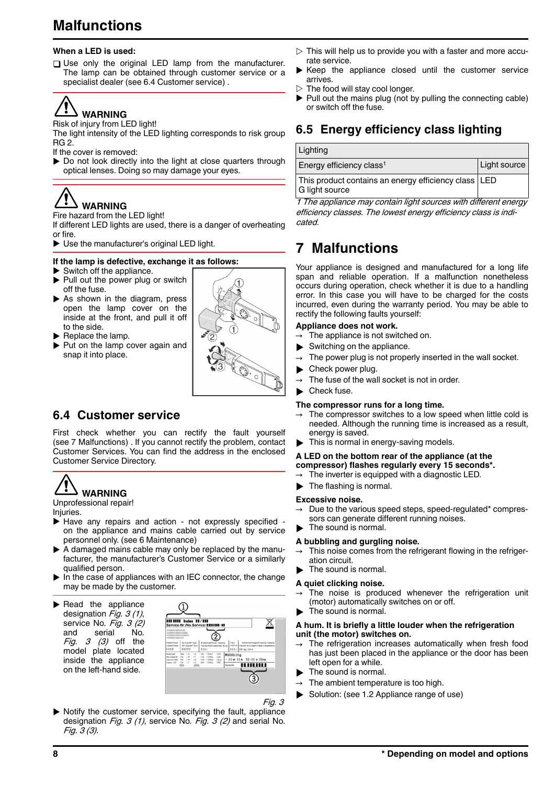# **Malfunctions**

#### **When a LED is used:**

 $\Box$  Use only the original LED lamp from the manufacturer. The lamp can be obtained through customer service or a specialist dealer (see 6.4 Customer service) .

# **WARNING**

#### Risk of injury from LED light!

The light intensity of the LED lighting corresponds to risk group RG 2.

If the cover is removed:

 $\triangleright$  Do not look directly into the light at close quarters through optical lenses. Doing so may damage your eyes.

# **WARNING**

#### Fire hazard from the LED light!

If different LED lights are used, there is a danger of overheating or fire.

 $\triangleright$  Use the manufacturer's original LED light.

#### **If the lamp is defective, exchange it as follows:**

- $\blacktriangleright$  Switch off the appliance.
- $\blacktriangleright$  Pull out the power plug or switch off the fuse.
- $\blacktriangleright$  As shown in the diagram, press open the lamp cover on the inside at the front, and pull it off to the side.
- $\blacktriangleright$  Replace the lamp.
- $\blacktriangleright$  Put on the lamp cover again and snap it into place.



## **6.4 Customer service**

First check whether you can rectify the fault yourself (see 7 Malfunctions) . If you cannot rectify the problem, contact Customer Services. You can find the address in the enclosed Customer Service Directory.



#### Unprofessional repair!

Injuries.

- $\blacktriangleright$  Have any repairs and action not expressly specified on the appliance and mains cable carried out by service personnel only. [\(see 6 Maintenance\)](#page-6-0)
- $\triangleright$  A damaged mains cable may only be replaced by the manufacturer, the manufacturer's Customer Service or a similarly qualified person.
- $\blacktriangleright$  In the case of appliances with an IEC connector, the change may be made by the customer.
- $\blacktriangleright$  Read the appliance designation  $Fig. 3 (1)$ , service No. Fig. 3 (2) and serial No. Fig.  $3$   $(3)$  off the model plate located inside the appliance on the left-hand side.



- $\triangleright$  This will help us to provide you with a faster and more accurate service.
- Keep the appliance closed until the customer service arrives.
- $\triangleright$  The food will stay cool longer.<br>  $\blacktriangleright$  Pull out the mains plug (pot b
- Pull out the mains plug (not by pulling the connecting cable) or switch off the fuse.

## **6.5 Energy efficiency class lighting**

| Lighting                                                                 |              |
|--------------------------------------------------------------------------|--------------|
| Energy efficiency class <sup>1</sup>                                     | Light source |
| This product contains an energy efficiency class   LED<br>G light source |              |

1 The appliance may contain light sources with different energy efficiency classes. The lowest energy efficiency class is indicated.

## **7 Malfunctions**

Your appliance is designed and manufactured for a long life span and reliable operation. If a malfunction nonetheless occurs during operation, check whether it is due to a handling error. In this case you will have to be charged for the costs incurred, even during the warranty period. You may be able to rectify the following faults yourself:

#### **Appliance does not work.**

- The appliance is not switched on.
- $\blacktriangleright$  Switching on the appliance.
- The power plug is not properly inserted in the wall socket.
- Check power plug.
- The fuse of the wall socket is not in order.

Check fuse.

#### **The compressor runs for a long time.**

- The compressor switches to a low speed when little cold is needed. Although the running time is increased as a result, energy is saved.
- $\blacktriangleright$  This is normal in energy-saving models.

#### **A LED on the bottom rear of the appliance (at the compressor) flashes regularly every 15 seconds\*.**

 $\rightarrow$  The inverter is equipped with a diagnostic LED.

 $\blacktriangleright$  The flashing is normal.

#### **Excessive noise.**

- Due to the various speed steps, speed-regulated\* compressors can generate different running noises.
- The sound is normal.

#### **A bubbling and gurgling noise.**

- $\rightarrow$  This noise comes from the refrigerant flowing in the refrigeration circuit.
- The sound is normal.

#### **A quiet clicking noise.**

- The noise is produced whenever the refrigeration unit (motor) automatically switches on or off.
- $\blacktriangleright$  The sound is normal.

#### **A hum. It is briefly a little louder when the refrigeration unit (the motor) switches on.**

- The refrigeration increases automatically when fresh food has just been placed in the appliance or the door has been left open for a while.
- The sound is normal.
- $\rightarrow$  The ambient temperature is too high.
- $\triangleright$  Solution: [\(see 1.2 Appliance range of use\)](#page-1-0)
- Fig. 3  $\blacktriangleright$  Notify the customer service, specifying the fault, appliance designation Fig. 3 (1), service No. Fig. 3 (2) and serial No. Fig. 3 (3).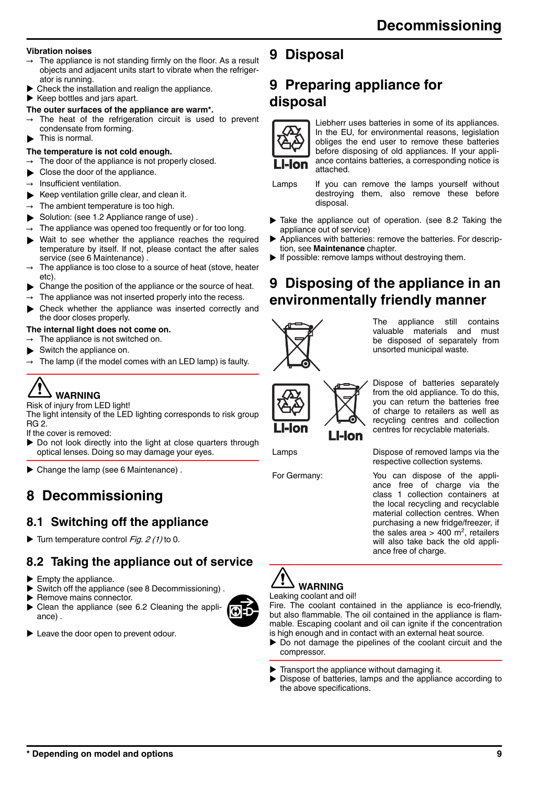#### **Vibration noises**

- The appliance is not standing firmly on the floor. As a result objects and adjacent units start to vibrate when the refrigerator is running.
- Check the installation and realign the appliance.

 $\blacktriangleright$  Keep bottles and jars apart.

- **The outer surfaces of the appliance are warm\*.**
- The heat of the refrigeration circuit is used to prevent condensate from forming.
- This is normal.

#### **The temperature is not cold enough.**

- The door of the appliance is not properly closed.
- Close the door of the appliance.
- Insufficient ventilation.
- $\blacktriangleright$  Keep ventilation grille clear, and clean it.
- The ambient temperature is too high.
- $\triangleright$  Solution: (see 1.2 Appliance range of use).
- The appliance was opened too frequently or for too long.
- Wait to see whether the appliance reaches the required temperature by itself. If not, please contact the after sales service [\(see 6 Maintenance\) .](#page-6-0)
- The appliance is too close to a source of heat (stove, heater etc).
- Change the position of the appliance or the source of heat.
- The appliance was not inserted properly into the recess.
- Check whether the appliance was inserted correctly and the door closes properly.

#### **The internal light does not come on.**

- The appliance is not switched on.
- Switch the appliance on.
- The lamp (if the model comes with an LED lamp) is faulty.

# **WARNING**

Risk of injury from LED light!

The light intensity of the LED lighting corresponds to risk group RG 2.

If the cover is removed:

- $\triangleright$  Do not look directly into the light at close quarters through optical lenses. Doing so may damage your eyes.
- $\blacktriangleright$  Change the lamp (see 6 Maintenance).

# **8 Decommissioning**

## **8.1 Switching off the appliance**

Turn temperature control Fig.  $2(1)$  to 0.

## **8.2 Taking the appliance out of service**

- $\blacktriangleright$  Empty the appliance.
- Switch off the appliance (see 8 Decommissioning).
- $\blacktriangleright$  Remove mains connector.<br> $\blacktriangleright$  Clean the appliance (see
- Clean the appliance [\(see 6.2 Cleaning the appli](#page-6-0)[ance\)](#page-6-0) .
- $\blacktriangleright$  Leave the door open to prevent odour.

# **9 Disposal**

# **9 Preparing appliance for disposal**



Liebherr uses batteries in some of its appliances. In the EU, for environmental reasons, legislation obliges the end user to remove these batteries before disposing of old appliances. If your appliance contains batteries, a corresponding notice is attached.

Lamps If you can remove the lamps yourself without destroying them, also remove these before disposal.

- $\blacktriangleright$  Take the appliance out of operation. (see 8.2 Taking the appliance out of service)
- $\blacktriangleright$  Appliances with batteries: remove the batteries. For description, see **Maintenance** chapter.
- $\blacktriangleright$  If possible: remove lamps without destroying them.

## **9 Disposing of the appliance in an environmentally friendly manner**



The appliance still contains valuable materials and must be disposed of separately from unsorted municipal waste.



Dispose of batteries separately from the old appliance. To do this, you can return the batteries free of charge to retailers as well as recycling centres and collection centres for recyclable materials.

Lamps Dispose of removed lamps via the respective collection systems.

For Germany: You can dispose of the appliance free of charge via the class 1 collection containers at the local recycling and recyclable material collection centres. When purchasing a new fridge/freezer, if the sales area  $> 400$  m<sup>2</sup>, retailers will also take back the old appliance free of charge.



#### Leaking coolant and oil!

Fire. The coolant contained in the appliance is eco-friendly, but also flammable. The oil contained in the appliance is flammable. Escaping coolant and oil can ignite if the concentration is high enough and in contact with an external heat source.

- $\triangleright$  Do not damage the pipelines of the coolant circuit and the compressor.
- Transport the appliance without damaging it.
- $\blacktriangleright$  Dispose of batteries, lamps and the appliance according to the above specifications.